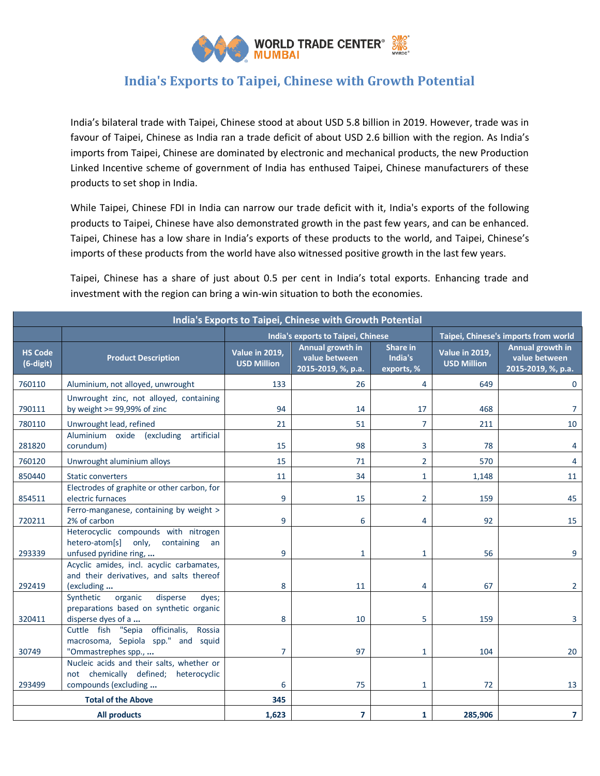

## **India's Exports to Taipei, Chinese with Growth Potential**

India's bilateral trade with Taipei, Chinese stood at about USD 5.8 billion in 2019. However, trade was in favour of Taipei, Chinese as India ran a trade deficit of about USD 2.6 billion with the region. As India's imports from Taipei, Chinese are dominated by electronic and mechanical products, the new Production Linked Incentive scheme of government of India has enthused Taipei, Chinese manufacturers of these products to set shop in India.

While Taipei, Chinese FDI in India can narrow our trade deficit with it, India's exports of the following products to Taipei, Chinese have also demonstrated growth in the past few years, and can be enhanced. Taipei, Chinese has a low share in India's exports of these products to the world, and Taipei, Chinese's imports of these products from the world have also witnessed positive growth in the last few years.

Taipei, Chinese has a share of just about 0.5 per cent in India's total exports. Enhancing trade and investment with the region can bring a win-win situation to both the economies.

| India's Exports to Taipei, Chinese with Growth Potential |                                                                                                            |                                             |                                                         |                                   |                                             |                                                         |
|----------------------------------------------------------|------------------------------------------------------------------------------------------------------------|---------------------------------------------|---------------------------------------------------------|-----------------------------------|---------------------------------------------|---------------------------------------------------------|
|                                                          |                                                                                                            | India's exports to Taipei, Chinese          |                                                         |                                   | Taipei, Chinese's imports from world        |                                                         |
| <b>HS Code</b><br>(6-digit)                              | <b>Product Description</b>                                                                                 | <b>Value in 2019,</b><br><b>USD Million</b> | Annual growth in<br>value between<br>2015-2019, %, p.a. | Share in<br>India's<br>exports, % | <b>Value in 2019,</b><br><b>USD Million</b> | Annual growth in<br>value between<br>2015-2019, %, p.a. |
| 760110                                                   | Aluminium, not alloyed, unwrought                                                                          | 133                                         | 26                                                      | 4                                 | 649                                         | $\Omega$                                                |
| 790111                                                   | Unwrought zinc, not alloyed, containing<br>by weight $>= 99,99\%$ of zinc                                  | 94                                          | 14                                                      | 17                                | 468                                         | 7                                                       |
| 780110                                                   | Unwrought lead, refined                                                                                    | 21                                          | 51                                                      | $\overline{7}$                    | 211                                         | 10                                                      |
| 281820                                                   | Aluminium oxide (excluding artificial<br>corundum)                                                         | 15                                          | 98                                                      | 3                                 | 78                                          | 4                                                       |
| 760120                                                   | Unwrought aluminium alloys                                                                                 | 15                                          | 71                                                      | $\overline{2}$                    | 570                                         | 4                                                       |
| 850440                                                   | <b>Static converters</b>                                                                                   | 11                                          | 34                                                      | $\mathbf{1}$                      | 1,148                                       | 11                                                      |
| 854511                                                   | Electrodes of graphite or other carbon, for<br>electric furnaces                                           | 9                                           | 15                                                      | $\overline{2}$                    | 159                                         | 45                                                      |
| 720211                                                   | Ferro-manganese, containing by weight ><br>2% of carbon                                                    | 9                                           | 6                                                       | 4                                 | 92                                          | 15                                                      |
| 293339                                                   | Heterocyclic compounds with nitrogen<br>hetero-atom[s] only, containing<br>an<br>unfused pyridine ring,    | 9                                           | 1                                                       | $\mathbf{1}$                      | 56                                          | 9                                                       |
| 292419                                                   | Acyclic amides, incl. acyclic carbamates,<br>and their derivatives, and salts thereof<br>(excluding        | 8                                           | 11                                                      | 4                                 | 67                                          | $\overline{2}$                                          |
| 320411                                                   | Synthetic<br>organic<br>disperse<br>dyes;<br>preparations based on synthetic organic<br>disperse dyes of a | 8                                           | 10                                                      | 5                                 | 159                                         | 3                                                       |
| 30749                                                    | Cuttle fish "Sepia officinalis,<br>Rossia<br>macrosoma, Sepiola spp." and squid<br>"Ommastrephes spp.,     | $\overline{7}$                              | 97                                                      | $\mathbf{1}$                      | 104                                         | 20                                                      |
| 293499                                                   | Nucleic acids and their salts, whether or<br>not chemically defined; heterocyclic<br>compounds (excluding  | 6                                           | 75                                                      | $\mathbf{1}$                      | 72                                          | 13                                                      |
| <b>Total of the Above</b>                                |                                                                                                            | 345                                         |                                                         |                                   |                                             |                                                         |
| All products                                             |                                                                                                            | 1,623                                       | $\overline{7}$                                          | $\mathbf{1}$                      | 285,906                                     | 7                                                       |